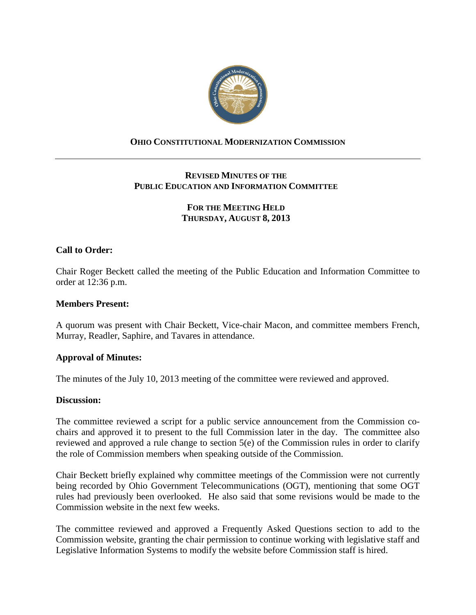

# **OHIO CONSTITUTIONAL MODERNIZATION COMMISSION**

# **REVISED MINUTES OF THE PUBLIC EDUCATION AND INFORMATION COMMITTEE**

# **FOR THE MEETING HELD THURSDAY, AUGUST 8, 2013**

# **Call to Order:**

Chair Roger Beckett called the meeting of the Public Education and Information Committee to order at 12:36 p.m.

### **Members Present:**

A quorum was present with Chair Beckett, Vice-chair Macon, and committee members French, Murray, Readler, Saphire, and Tavares in attendance.

#### **Approval of Minutes:**

The minutes of the July 10, 2013 meeting of the committee were reviewed and approved.

#### **Discussion:**

The committee reviewed a script for a public service announcement from the Commission cochairs and approved it to present to the full Commission later in the day. The committee also reviewed and approved a rule change to section 5(e) of the Commission rules in order to clarify the role of Commission members when speaking outside of the Commission.

Chair Beckett briefly explained why committee meetings of the Commission were not currently being recorded by Ohio Government Telecommunications (OGT), mentioning that some OGT rules had previously been overlooked. He also said that some revisions would be made to the Commission website in the next few weeks.

The committee reviewed and approved a Frequently Asked Questions section to add to the Commission website, granting the chair permission to continue working with legislative staff and Legislative Information Systems to modify the website before Commission staff is hired.